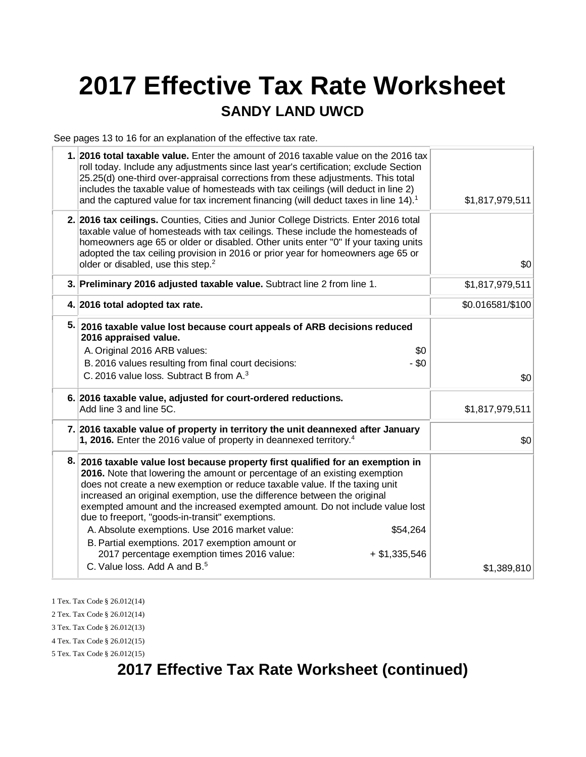# **2017 Effective Tax Rate Worksheet**

#### **SANDY LAND UWCD**

See pages 13 to 16 for an explanation of the effective tax rate.

| 1. 2016 total taxable value. Enter the amount of 2016 taxable value on the 2016 tax<br>roll today. Include any adjustments since last year's certification; exclude Section<br>25.25(d) one-third over-appraisal corrections from these adjustments. This total<br>includes the taxable value of homesteads with tax ceilings (will deduct in line 2)<br>and the captured value for tax increment financing (will deduct taxes in line 14). <sup>1</sup>                                                                                                                                                                                      | \$1,817,979,511  |
|-----------------------------------------------------------------------------------------------------------------------------------------------------------------------------------------------------------------------------------------------------------------------------------------------------------------------------------------------------------------------------------------------------------------------------------------------------------------------------------------------------------------------------------------------------------------------------------------------------------------------------------------------|------------------|
| 2. 2016 tax ceilings. Counties, Cities and Junior College Districts. Enter 2016 total<br>taxable value of homesteads with tax ceilings. These include the homesteads of<br>homeowners age 65 or older or disabled. Other units enter "0" If your taxing units<br>adopted the tax ceiling provision in 2016 or prior year for homeowners age 65 or<br>older or disabled, use this step. <sup>2</sup>                                                                                                                                                                                                                                           | \$0              |
| 3. Preliminary 2016 adjusted taxable value. Subtract line 2 from line 1.                                                                                                                                                                                                                                                                                                                                                                                                                                                                                                                                                                      | \$1,817,979,511  |
| 4. 2016 total adopted tax rate.                                                                                                                                                                                                                                                                                                                                                                                                                                                                                                                                                                                                               | \$0.016581/\$100 |
| 5. 2016 taxable value lost because court appeals of ARB decisions reduced<br>2016 appraised value.<br>A. Original 2016 ARB values:<br>\$0<br>$-$ \$0<br>B. 2016 values resulting from final court decisions:<br>C. 2016 value loss. Subtract B from A. <sup>3</sup>                                                                                                                                                                                                                                                                                                                                                                           | \$0              |
| 6. 2016 taxable value, adjusted for court-ordered reductions.<br>Add line 3 and line 5C.                                                                                                                                                                                                                                                                                                                                                                                                                                                                                                                                                      | \$1,817,979,511  |
| 7. 2016 taxable value of property in territory the unit deannexed after January<br>1, 2016. Enter the 2016 value of property in deannexed territory. <sup>4</sup>                                                                                                                                                                                                                                                                                                                                                                                                                                                                             | \$0              |
| 8. 2016 taxable value lost because property first qualified for an exemption in<br>2016. Note that lowering the amount or percentage of an existing exemption<br>does not create a new exemption or reduce taxable value. If the taxing unit<br>increased an original exemption, use the difference between the original<br>exempted amount and the increased exempted amount. Do not include value lost<br>due to freeport, "goods-in-transit" exemptions.<br>A. Absolute exemptions. Use 2016 market value:<br>\$54,264<br>B. Partial exemptions. 2017 exemption amount or<br>2017 percentage exemption times 2016 value:<br>$+ $1,335,546$ |                  |
| C. Value loss. Add A and B. <sup>5</sup>                                                                                                                                                                                                                                                                                                                                                                                                                                                                                                                                                                                                      | \$1,389,810      |

1 Tex. Tax Code § 26.012(14)

2 Tex. Tax Code § 26.012(14)

3 Tex. Tax Code § 26.012(13)

4 Tex. Tax Code § 26.012(15) 5 Tex. Tax Code § 26.012(15)

# **2017 Effective Tax Rate Worksheet (continued)**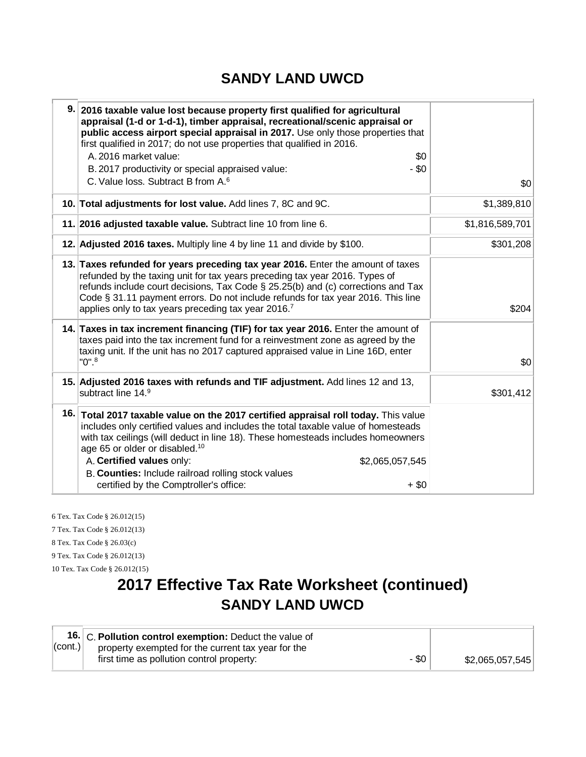#### **SANDY LAND UWCD**

| 9. 2016 taxable value lost because property first qualified for agricultural<br>appraisal (1-d or 1-d-1), timber appraisal, recreational/scenic appraisal or<br>public access airport special appraisal in 2017. Use only those properties that<br>first qualified in 2017; do not use properties that qualified in 2016.<br>A. 2016 market value:<br>\$0<br>$-$ \$0<br>B. 2017 productivity or special appraised value:<br>C. Value loss. Subtract B from A. <sup>6</sup> | \$0             |
|----------------------------------------------------------------------------------------------------------------------------------------------------------------------------------------------------------------------------------------------------------------------------------------------------------------------------------------------------------------------------------------------------------------------------------------------------------------------------|-----------------|
| 10. Total adjustments for lost value. Add lines 7, 8C and 9C.                                                                                                                                                                                                                                                                                                                                                                                                              | \$1,389,810     |
| 11. 2016 adjusted taxable value. Subtract line 10 from line 6.                                                                                                                                                                                                                                                                                                                                                                                                             | \$1,816,589,701 |
| 12. Adjusted 2016 taxes. Multiply line 4 by line 11 and divide by \$100.                                                                                                                                                                                                                                                                                                                                                                                                   | \$301,208       |
| 13. Taxes refunded for years preceding tax year 2016. Enter the amount of taxes<br>refunded by the taxing unit for tax years preceding tax year 2016. Types of<br>refunds include court decisions, Tax Code $\S$ 25.25(b) and (c) corrections and Tax<br>Code § 31.11 payment errors. Do not include refunds for tax year 2016. This line<br>applies only to tax years preceding tax year 2016.7                                                                           | \$204           |
| 14. Taxes in tax increment financing (TIF) for tax year 2016. Enter the amount of<br>taxes paid into the tax increment fund for a reinvestment zone as agreed by the<br>taxing unit. If the unit has no 2017 captured appraised value in Line 16D, enter<br>$"0".^8$                                                                                                                                                                                                       | \$0             |
| 15. Adjusted 2016 taxes with refunds and TIF adjustment. Add lines 12 and 13,<br>subtract line 14.9                                                                                                                                                                                                                                                                                                                                                                        | \$301,412       |
| 16. Total 2017 taxable value on the 2017 certified appraisal roll today. This value<br>includes only certified values and includes the total taxable value of homesteads<br>with tax ceilings (will deduct in line 18). These homesteads includes homeowners<br>age 65 or older or disabled. <sup>10</sup><br>A. Certified values only:<br>\$2,065,057,545<br>B. Counties: Include railroad rolling stock values<br>certified by the Comptroller's office:<br>$+$ \$0      |                 |

6 Tex. Tax Code § 26.012(15) 7 Tex. Tax Code § 26.012(13) 8 Tex. Tax Code § 26.03(c) 9 Tex. Tax Code § 26.012(13) 10 Tex. Tax Code § 26.012(15)

# **2017 Effective Tax Rate Worksheet (continued) SANDY LAND UWCD**

|                    | 16. C. Pollution control exemption: Deduct the value of |       |                 |
|--------------------|---------------------------------------------------------|-------|-----------------|
| $ _{\rm (cont.)} $ | property exempted for the current tax year for the      |       |                 |
|                    | first time as pollution control property:               | - \$0 | \$2,065,057,545 |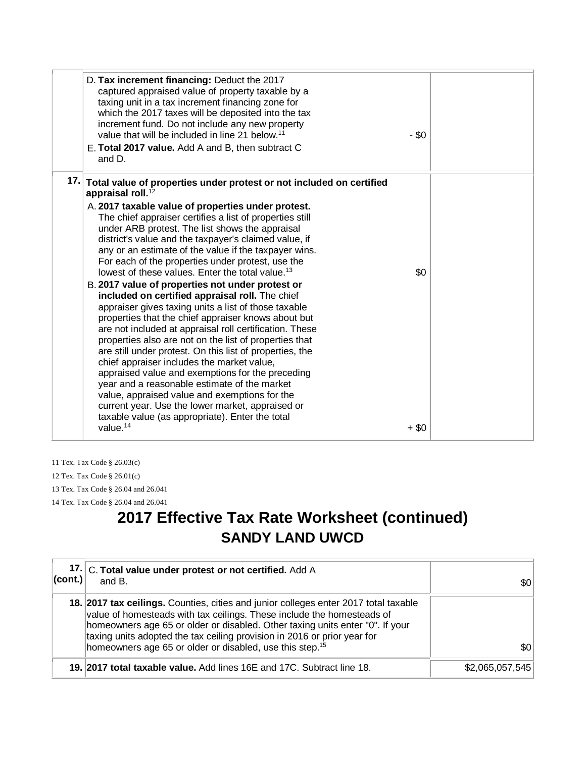| and D.                        | D. Tax increment financing: Deduct the 2017<br>captured appraised value of property taxable by a<br>taxing unit in a tax increment financing zone for<br>which the 2017 taxes will be deposited into the tax<br>increment fund. Do not include any new property<br>value that will be included in line 21 below. <sup>11</sup><br>E. Total 2017 value. Add A and B, then subtract C                                                                                                                                                                                                                                                                                                                                                                                                                                                                                                                                                                                                                                                                                                                                                                | $-$ \$0 |
|-------------------------------|----------------------------------------------------------------------------------------------------------------------------------------------------------------------------------------------------------------------------------------------------------------------------------------------------------------------------------------------------------------------------------------------------------------------------------------------------------------------------------------------------------------------------------------------------------------------------------------------------------------------------------------------------------------------------------------------------------------------------------------------------------------------------------------------------------------------------------------------------------------------------------------------------------------------------------------------------------------------------------------------------------------------------------------------------------------------------------------------------------------------------------------------------|---------|
| appraisal roll. <sup>12</sup> | 17. Total value of properties under protest or not included on certified<br>A. 2017 taxable value of properties under protest.<br>The chief appraiser certifies a list of properties still<br>under ARB protest. The list shows the appraisal<br>district's value and the taxpayer's claimed value, if<br>any or an estimate of the value if the taxpayer wins.<br>For each of the properties under protest, use the<br>lowest of these values. Enter the total value. <sup>13</sup><br>B. 2017 value of properties not under protest or<br>included on certified appraisal roll. The chief<br>appraiser gives taxing units a list of those taxable<br>properties that the chief appraiser knows about but<br>are not included at appraisal roll certification. These<br>properties also are not on the list of properties that<br>are still under protest. On this list of properties, the<br>chief appraiser includes the market value,<br>appraised value and exemptions for the preceding<br>year and a reasonable estimate of the market<br>value, appraised value and exemptions for the<br>current year. Use the lower market, appraised or | \$0     |
| value. $14$                   | taxable value (as appropriate). Enter the total                                                                                                                                                                                                                                                                                                                                                                                                                                                                                                                                                                                                                                                                                                                                                                                                                                                                                                                                                                                                                                                                                                    | $+$ \$0 |

11 Tex. Tax Code § 26.03(c) 12 Tex. Tax Code § 26.01(c) 13 Tex. Tax Code § 26.04 and 26.041 14 Tex. Tax Code § 26.04 and 26.041

# **2017 Effective Tax Rate Worksheet (continued) SANDY LAND UWCD**

| 17.<br>$ _{\rm (cont.)} $ | C. Total value under protest or not certified. Add A<br>and B.                                                                                                                                                                                                                                                                                                                                      | \$0∣            |
|---------------------------|-----------------------------------------------------------------------------------------------------------------------------------------------------------------------------------------------------------------------------------------------------------------------------------------------------------------------------------------------------------------------------------------------------|-----------------|
|                           | 18. 2017 tax cellings. Counties, cities and junior colleges enter 2017 total taxable<br>value of homesteads with tax ceilings. These include the homesteads of<br>homeowners age 65 or older or disabled. Other taxing units enter "0". If your<br>taxing units adopted the tax ceiling provision in 2016 or prior year for<br>homeowners age 65 or older or disabled, use this step. <sup>15</sup> | \$0             |
|                           | 19. 2017 total taxable value. Add lines 16E and 17C. Subtract line 18.                                                                                                                                                                                                                                                                                                                              | \$2,065,057,545 |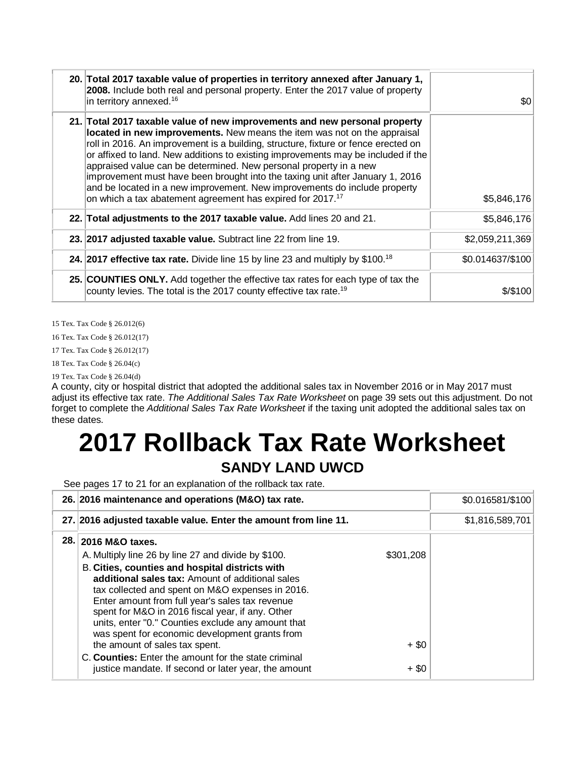| 20. Total 2017 taxable value of properties in territory annexed after January 1,<br>2008. Include both real and personal property. Enter the 2017 value of property<br>in territory annexed. <sup>16</sup>                                                                                                                                                                                                                                                                                                                                                                                                                                     | \$0              |
|------------------------------------------------------------------------------------------------------------------------------------------------------------------------------------------------------------------------------------------------------------------------------------------------------------------------------------------------------------------------------------------------------------------------------------------------------------------------------------------------------------------------------------------------------------------------------------------------------------------------------------------------|------------------|
| 21. Total 2017 taxable value of new improvements and new personal property<br>located in new improvements. New means the item was not on the appraisal<br>roll in 2016. An improvement is a building, structure, fixture or fence erected on<br>or affixed to land. New additions to existing improvements may be included if the<br>appraised value can be determined. New personal property in a new<br>improvement must have been brought into the taxing unit after January 1, 2016<br>and be located in a new improvement. New improvements do include property<br>on which a tax abatement agreement has expired for 2017. <sup>17</sup> | \$5,846,176      |
| 22. Total adjustments to the 2017 taxable value. Add lines 20 and 21.                                                                                                                                                                                                                                                                                                                                                                                                                                                                                                                                                                          | \$5,846,176      |
| 23. 2017 adjusted taxable value. Subtract line 22 from line 19.                                                                                                                                                                                                                                                                                                                                                                                                                                                                                                                                                                                | \$2,059,211,369  |
| 24. 2017 effective tax rate. Divide line 15 by line 23 and multiply by $$100.18$                                                                                                                                                                                                                                                                                                                                                                                                                                                                                                                                                               | \$0.014637/\$100 |
| 25. COUNTIES ONLY. Add together the effective tax rates for each type of tax the<br>county levies. The total is the 2017 county effective tax rate. <sup>19</sup>                                                                                                                                                                                                                                                                                                                                                                                                                                                                              | \$/\$100         |

15 Tex. Tax Code § 26.012(6)

16 Tex. Tax Code § 26.012(17)

17 Tex. Tax Code § 26.012(17)

18 Tex. Tax Code § 26.04(c)

19 Tex. Tax Code § 26.04(d)

A county, city or hospital district that adopted the additional sales tax in November 2016 or in May 2017 must adjust its effective tax rate. *The Additional Sales Tax Rate Worksheet* on page 39 sets out this adjustment. Do not forget to complete the *Additional Sales Tax Rate Worksheet* if the taxing unit adopted the additional sales tax on these dates.

# **2017 Rollback Tax Rate Worksheet**

### **SANDY LAND UWCD**

See pages 17 to 21 for an explanation of the rollback tax rate.

| 26. 2016 maintenance and operations (M&O) tax rate.                                                                                                                                                                                                                                                                 |           | \$0.016581/\$100 |
|---------------------------------------------------------------------------------------------------------------------------------------------------------------------------------------------------------------------------------------------------------------------------------------------------------------------|-----------|------------------|
| 27. 2016 adjusted taxable value. Enter the amount from line 11.                                                                                                                                                                                                                                                     |           | \$1,816,589,701  |
| 28. 2016 M&O taxes.<br>A. Multiply line 26 by line 27 and divide by \$100.<br>B. Cities, counties and hospital districts with                                                                                                                                                                                       | \$301,208 |                  |
| additional sales tax: Amount of additional sales<br>tax collected and spent on M&O expenses in 2016.<br>Enter amount from full year's sales tax revenue<br>spent for M&O in 2016 fiscal year, if any. Other<br>units, enter "0." Counties exclude any amount that<br>was spent for economic development grants from |           |                  |
| the amount of sales tax spent.<br>C. Counties: Enter the amount for the state criminal                                                                                                                                                                                                                              | $+$ \$0   |                  |
| justice mandate. If second or later year, the amount                                                                                                                                                                                                                                                                | $+$ \$0   |                  |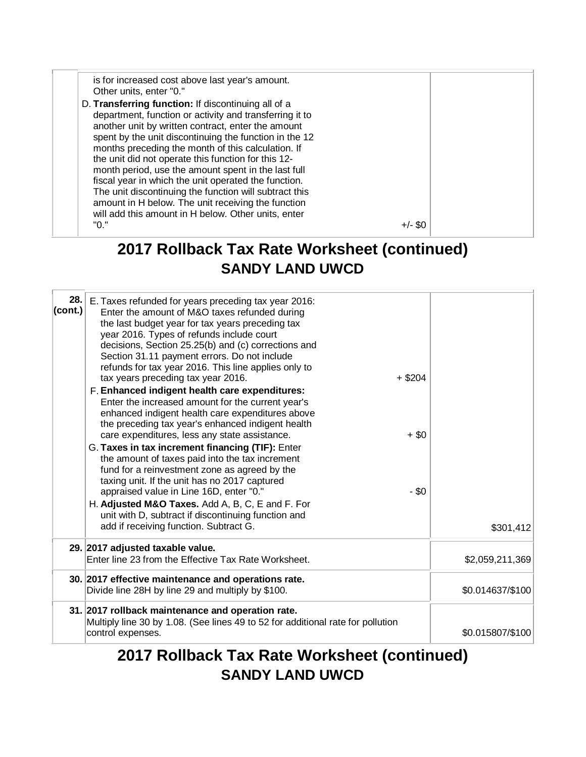is for increased cost above last year's amount. Other units, enter "0." D. **Transferring function:** If discontinuing all of a department, function or activity and transferring it to another unit by written contract, enter the amount spent by the unit discontinuing the function in the 12 months preceding the month of this calculation. If the unit did not operate this function for this 12 month period, use the amount spent in the last full fiscal year in which the unit operated the function. The unit discontinuing the function will subtract this amount in H below. The unit receiving the function will add this amount in H below. Other units, enter  $+/-$  \$0

#### **2017 Rollback Tax Rate Worksheet (continued) SANDY LAND UWCD**

| 28.1<br>(cont.) | E. Taxes refunded for years preceding tax year 2016:<br>Enter the amount of M&O taxes refunded during<br>the last budget year for tax years preceding tax<br>year 2016. Types of refunds include court<br>decisions, Section 25.25(b) and (c) corrections and<br>Section 31.11 payment errors. Do not include<br>refunds for tax year 2016. This line applies only to<br>tax years preceding tax year 2016.<br>F. Enhanced indigent health care expenditures:<br>Enter the increased amount for the current year's<br>enhanced indigent health care expenditures above<br>the preceding tax year's enhanced indigent health<br>care expenditures, less any state assistance.<br>G. Taxes in tax increment financing (TIF): Enter<br>the amount of taxes paid into the tax increment<br>fund for a reinvestment zone as agreed by the<br>taxing unit. If the unit has no 2017 captured<br>appraised value in Line 16D, enter "0."<br>H. Adjusted M&O Taxes. Add A, B, C, E and F. For<br>unit with D, subtract if discontinuing function and<br>add if receiving function. Subtract G. | $+$ \$204<br>$+$ \$0<br>$-$ \$0 | \$301,412        |
|-----------------|---------------------------------------------------------------------------------------------------------------------------------------------------------------------------------------------------------------------------------------------------------------------------------------------------------------------------------------------------------------------------------------------------------------------------------------------------------------------------------------------------------------------------------------------------------------------------------------------------------------------------------------------------------------------------------------------------------------------------------------------------------------------------------------------------------------------------------------------------------------------------------------------------------------------------------------------------------------------------------------------------------------------------------------------------------------------------------------|---------------------------------|------------------|
|                 | 29. 2017 adjusted taxable value.<br>Enter line 23 from the Effective Tax Rate Worksheet.                                                                                                                                                                                                                                                                                                                                                                                                                                                                                                                                                                                                                                                                                                                                                                                                                                                                                                                                                                                              |                                 | \$2,059,211,369  |
|                 | 30. 2017 effective maintenance and operations rate.<br>Divide line 28H by line 29 and multiply by \$100.                                                                                                                                                                                                                                                                                                                                                                                                                                                                                                                                                                                                                                                                                                                                                                                                                                                                                                                                                                              |                                 | \$0.014637/\$100 |
|                 | 31. 2017 rollback maintenance and operation rate.<br>Multiply line 30 by 1.08. (See lines 49 to 52 for additional rate for pollution<br>control expenses.                                                                                                                                                                                                                                                                                                                                                                                                                                                                                                                                                                                                                                                                                                                                                                                                                                                                                                                             |                                 | \$0.015807/\$100 |

### **2017 Rollback Tax Rate Worksheet (continued) SANDY LAND UWCD**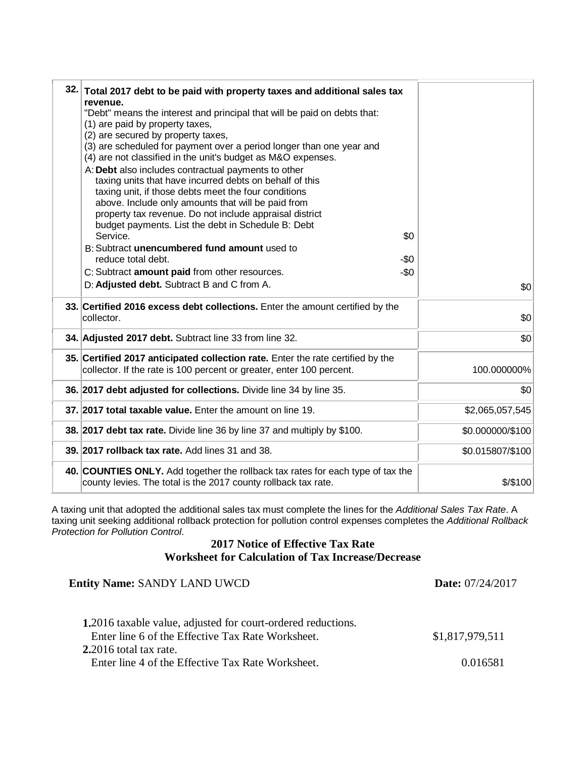| 32. Total 2017 debt to be paid with property taxes and additional sales tax<br>revenue.<br>"Debt" means the interest and principal that will be paid on debts that:<br>(1) are paid by property taxes,<br>(2) are secured by property taxes,<br>(3) are scheduled for payment over a period longer than one year and<br>(4) are not classified in the unit's budget as M&O expenses.<br>A: Debt also includes contractual payments to other<br>taxing units that have incurred debts on behalf of this<br>taxing unit, if those debts meet the four conditions<br>above. Include only amounts that will be paid from<br>property tax revenue. Do not include appraisal district<br>budget payments. List the debt in Schedule B: Debt<br>\$0<br>Service.<br>B: Subtract unencumbered fund amount used to<br>reduce total debt.<br>-\$0<br>$-\$0$<br>C: Subtract amount paid from other resources.<br>D: Adjusted debt. Subtract B and C from A. | \$0              |
|-------------------------------------------------------------------------------------------------------------------------------------------------------------------------------------------------------------------------------------------------------------------------------------------------------------------------------------------------------------------------------------------------------------------------------------------------------------------------------------------------------------------------------------------------------------------------------------------------------------------------------------------------------------------------------------------------------------------------------------------------------------------------------------------------------------------------------------------------------------------------------------------------------------------------------------------------|------------------|
| 33. Certified 2016 excess debt collections. Enter the amount certified by the<br>collector.                                                                                                                                                                                                                                                                                                                                                                                                                                                                                                                                                                                                                                                                                                                                                                                                                                                     | \$0              |
| 34. Adjusted 2017 debt. Subtract line 33 from line 32.                                                                                                                                                                                                                                                                                                                                                                                                                                                                                                                                                                                                                                                                                                                                                                                                                                                                                          | \$0              |
| 35. Certified 2017 anticipated collection rate. Enter the rate certified by the<br>collector. If the rate is 100 percent or greater, enter 100 percent.                                                                                                                                                                                                                                                                                                                                                                                                                                                                                                                                                                                                                                                                                                                                                                                         | 100.000000%      |
| 36. 2017 debt adjusted for collections. Divide line 34 by line 35.                                                                                                                                                                                                                                                                                                                                                                                                                                                                                                                                                                                                                                                                                                                                                                                                                                                                              | \$0              |
| 37. 2017 total taxable value. Enter the amount on line 19.                                                                                                                                                                                                                                                                                                                                                                                                                                                                                                                                                                                                                                                                                                                                                                                                                                                                                      | \$2,065,057,545  |
| 38. 2017 debt tax rate. Divide line 36 by line 37 and multiply by \$100.                                                                                                                                                                                                                                                                                                                                                                                                                                                                                                                                                                                                                                                                                                                                                                                                                                                                        | \$0.000000/\$100 |
| 39. 2017 rollback tax rate. Add lines 31 and 38.                                                                                                                                                                                                                                                                                                                                                                                                                                                                                                                                                                                                                                                                                                                                                                                                                                                                                                | \$0.015807/\$100 |
| 40. COUNTIES ONLY. Add together the rollback tax rates for each type of tax the<br>county levies. The total is the 2017 county rollback tax rate.                                                                                                                                                                                                                                                                                                                                                                                                                                                                                                                                                                                                                                                                                                                                                                                               | \$/\$100         |

A taxing unit that adopted the additional sales tax must complete the lines for the *Additional Sales Tax Rate*. A taxing unit seeking additional rollback protection for pollution control expenses completes the *Additional Rollback Protection for Pollution Control*.

#### **2017 Notice of Effective Tax Rate Worksheet for Calculation of Tax Increase/Decrease**

| <b>Entity Name: SANDY LAND UWCD</b>                                                                                      | <b>Date:</b> 07/24/2017 |  |
|--------------------------------------------------------------------------------------------------------------------------|-------------------------|--|
| <b>1.2016</b> taxable value, adjusted for court-ordered reductions.<br>Enter line 6 of the Effective Tax Rate Worksheet. | \$1,817,979,511         |  |
| $2.2016$ total tax rate.<br>Enter line 4 of the Effective Tax Rate Worksheet.                                            | 0.016581                |  |
|                                                                                                                          |                         |  |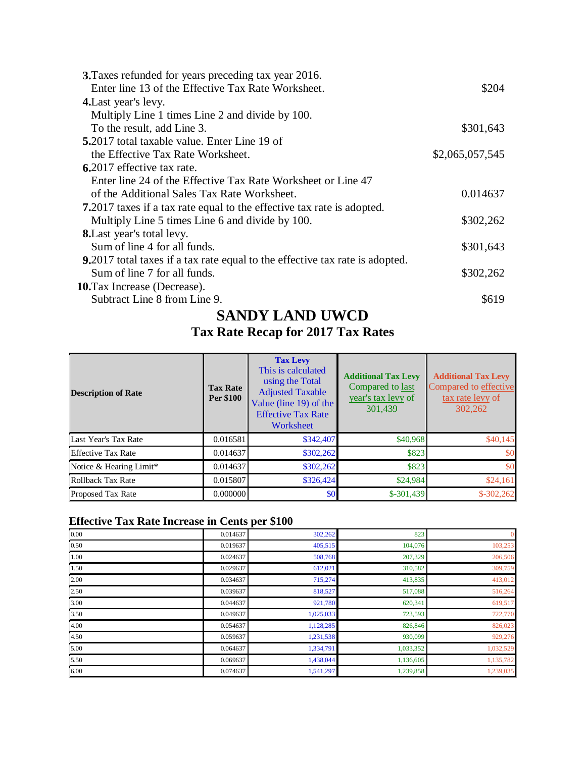| 3. Taxes refunded for years preceding tax year 2016.                                 |                 |
|--------------------------------------------------------------------------------------|-----------------|
| Enter line 13 of the Effective Tax Rate Worksheet.                                   | \$204           |
| <b>4.</b> Last year's levy.                                                          |                 |
| Multiply Line 1 times Line 2 and divide by 100.                                      |                 |
| To the result, add Line 3.                                                           | \$301,643       |
| 5.2017 total taxable value. Enter Line 19 of                                         |                 |
| the Effective Tax Rate Worksheet.                                                    | \$2,065,057,545 |
| 6.2017 effective tax rate.                                                           |                 |
| Enter line 24 of the Effective Tax Rate Worksheet or Line 47                         |                 |
| of the Additional Sales Tax Rate Worksheet.                                          | 0.014637        |
| <b>7.</b> 2017 taxes if a tax rate equal to the effective tax rate is adopted.       |                 |
| Multiply Line 5 times Line 6 and divide by 100.                                      | \$302,262       |
| <b>8.</b> Last year's total levy.                                                    |                 |
| Sum of line 4 for all funds.                                                         | \$301,643       |
| <b>9.</b> 2017 total taxes if a tax rate equal to the effective tax rate is adopted. |                 |
| Sum of line 7 for all funds.                                                         | \$302,262       |
| <b>10.</b> Tax Increase (Decrease).                                                  |                 |
| Subtract Line 8 from Line 9.                                                         | \$619           |
|                                                                                      |                 |

#### **SANDY LAND UWCD**

#### **Tax Rate Recap for 2017 Tax Rates**

| <b>Description of Rate</b> | <b>Tax Rate</b><br>Per \$100 | <b>Tax Levy</b><br>This is calculated<br>using the Total<br><b>Adjusted Taxable</b><br>Value (line 19) of the<br><b>Effective Tax Rate</b><br>Worksheet | <b>Additional Tax Levy</b><br>Compared to last<br>year's tax levy of<br>301,439 | <b>Additional Tax Levy</b><br>Compared to effective<br>tax rate levy of<br>302,262 |
|----------------------------|------------------------------|---------------------------------------------------------------------------------------------------------------------------------------------------------|---------------------------------------------------------------------------------|------------------------------------------------------------------------------------|
| Last Year's Tax Rate       | 0.016581                     | \$342,407                                                                                                                                               | \$40,968                                                                        | \$40,145                                                                           |
| <b>Effective Tax Rate</b>  | 0.014637                     | \$302,262                                                                                                                                               | \$823                                                                           | \$0                                                                                |
| Notice & Hearing Limit*    | 0.014637                     | \$302,262                                                                                                                                               | \$823                                                                           | \$0                                                                                |
| Rollback Tax Rate          | 0.015807                     | \$326,424                                                                                                                                               | \$24,984                                                                        | \$24,161                                                                           |
| <b>Proposed Tax Rate</b>   | 0.000000                     | \$0 <sub>1</sub>                                                                                                                                        | $$-301,439$                                                                     | $$-302,262$                                                                        |

#### **Effective Tax Rate Increase in Cents per \$100**

| 0.00 | 0.014637 | 302,262   | 823       | $\mathbf{0}$ |
|------|----------|-----------|-----------|--------------|
| 0.50 | 0.019637 | 405,515   | 104,076   | 103,253      |
| 1.00 | 0.024637 | 508,768   | 207,329   | 206,506      |
| 1.50 | 0.029637 | 612,021   | 310,582   | 309,759      |
| 2.00 | 0.034637 | 715,274   | 413,835   | 413,012      |
| 2.50 | 0.039637 | 818,527   | 517,088   | 516,264      |
| 3.00 | 0.044637 | 921,780   | 620,341   | 619,517      |
| 3.50 | 0.049637 | 1,025,033 | 723,593   | 722,770      |
| 4.00 | 0.054637 | 1,128,285 | 826,846   | 826,023      |
| 4.50 | 0.059637 | 1,231,538 | 930,099   | 929,276      |
| 5.00 | 0.064637 | 1,334,791 | 1,033,352 | 1,032,529    |
| 5.50 | 0.069637 | 1,438,044 | 1,136,605 | 1,135,782    |
| 6.00 | 0.074637 | 1,541,297 | 1,239,858 | 1,239,035    |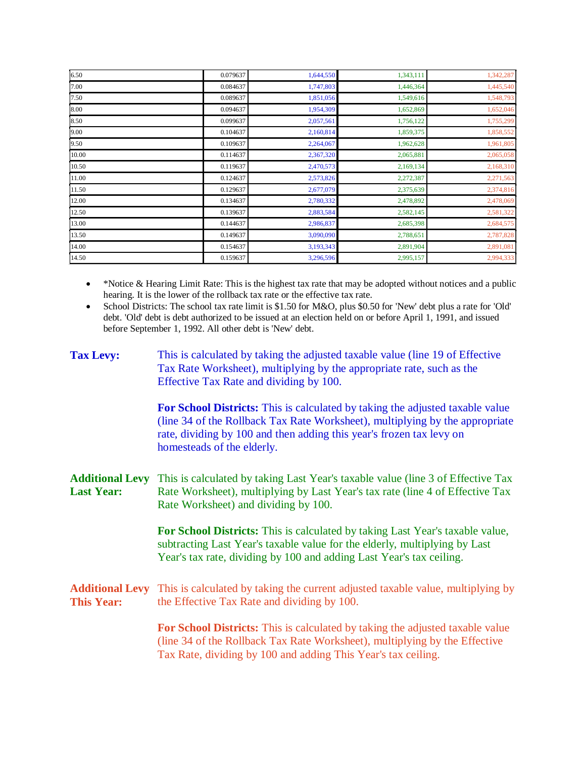| 6.50  | 0.079637 | 1,644,550 | 1,343,111 | 1,342,287 |
|-------|----------|-----------|-----------|-----------|
| 7.00  | 0.084637 | 1,747,803 | 1,446,364 | 1,445,540 |
| 7.50  | 0.089637 | 1,851,056 | 1,549,616 | 1,548,793 |
| 8.00  | 0.094637 | 1,954,309 | 1,652,869 | 1,652,046 |
| 8.50  | 0.099637 | 2,057,561 | 1,756,122 | 1,755,299 |
| 9.00  | 0.104637 | 2,160,814 | 1,859,375 | 1,858,552 |
| 9.50  | 0.109637 | 2,264,067 | 1,962,628 | 1,961,805 |
| 10.00 | 0.114637 | 2,367,320 | 2,065,881 | 2,065,058 |
| 10.50 | 0.119637 | 2,470,573 | 2,169,134 | 2,168,310 |
| 11.00 | 0.124637 | 2,573,826 | 2,272,387 | 2,271,563 |
| 11.50 | 0.129637 | 2,677,079 | 2,375,639 | 2,374,816 |
| 12.00 | 0.134637 | 2,780,332 | 2,478,892 | 2,478,069 |
| 12.50 | 0.139637 | 2,883,584 | 2,582,145 | 2,581,322 |
| 13.00 | 0.144637 | 2,986,837 | 2,685,398 | 2,684,575 |
| 13.50 | 0.149637 | 3,090,090 | 2,788,651 | 2,787,828 |
| 14.00 | 0.154637 | 3,193,343 | 2,891,904 | 2,891,081 |
| 14.50 | 0.159637 | 3,296,596 | 2,995,157 | 2,994,333 |

• \*Notice & Hearing Limit Rate: This is the highest tax rate that may be adopted without notices and a public hearing. It is the lower of the rollback tax rate or the effective tax rate.

• School Districts: The school tax rate limit is \$1.50 for M&O, plus \$0.50 for 'New' debt plus a rate for 'Old' debt. 'Old' debt is debt authorized to be issued at an election held on or before April 1, 1991, and issued before September 1, 1992. All other debt is 'New' debt.

| <b>Tax Levy:</b>                            | This is calculated by taking the adjusted taxable value (line 19 of Effective<br>Tax Rate Worksheet), multiplying by the appropriate rate, such as the<br>Effective Tax Rate and dividing by 100.                                                                   |
|---------------------------------------------|---------------------------------------------------------------------------------------------------------------------------------------------------------------------------------------------------------------------------------------------------------------------|
|                                             | For School Districts: This is calculated by taking the adjusted taxable value<br>(line 34 of the Rollback Tax Rate Worksheet), multiplying by the appropriate<br>rate, dividing by 100 and then adding this year's frozen tax levy on<br>homesteads of the elderly. |
| <b>Additional Levy</b><br><b>Last Year:</b> | This is calculated by taking Last Year's taxable value (line 3 of Effective Tax<br>Rate Worksheet), multiplying by Last Year's tax rate (line 4 of Effective Tax<br>Rate Worksheet) and dividing by 100.                                                            |
|                                             | For School Districts: This is calculated by taking Last Year's taxable value,<br>subtracting Last Year's taxable value for the elderly, multiplying by Last<br>Year's tax rate, dividing by 100 and adding Last Year's tax ceiling.                                 |
| <b>Additional Levy</b><br><b>This Year:</b> | This is calculated by taking the current adjusted taxable value, multiplying by<br>the Effective Tax Rate and dividing by 100.                                                                                                                                      |
|                                             | For School Districts: This is calculated by taking the adjusted taxable value<br>(line 34 of the Rollback Tax Rate Worksheet), multiplying by the Effective<br>Tax Rate, dividing by 100 and adding This Year's tax ceiling.                                        |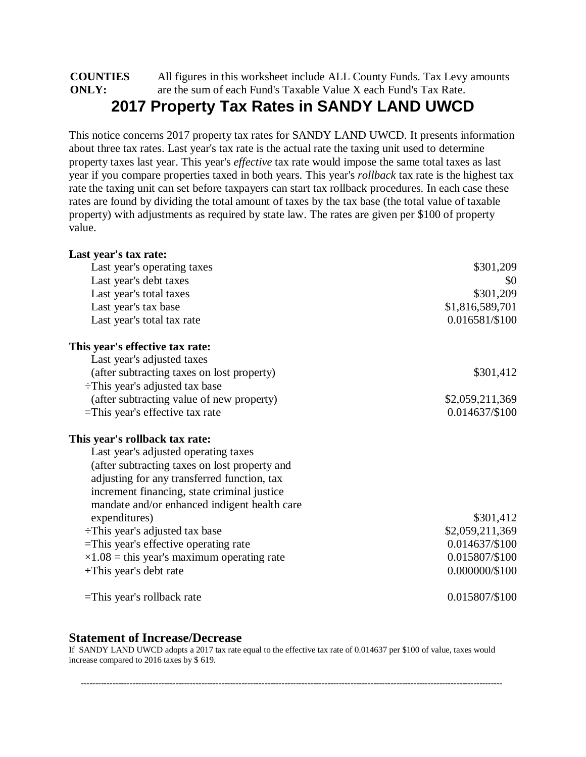#### **COUNTIES ONLY:** All figures in this worksheet include ALL County Funds. Tax Levy amounts are the sum of each Fund's Taxable Value X each Fund's Tax Rate. **2017 Property Tax Rates in SANDY LAND UWCD**

This notice concerns 2017 property tax rates for SANDY LAND UWCD. It presents information about three tax rates. Last year's tax rate is the actual rate the taxing unit used to determine property taxes last year. This year's *effective* tax rate would impose the same total taxes as last year if you compare properties taxed in both years. This year's *rollback* tax rate is the highest tax rate the taxing unit can set before taxpayers can start tax rollback procedures. In each case these rates are found by dividing the total amount of taxes by the tax base (the total value of taxable property) with adjustments as required by state law. The rates are given per \$100 of property value.

| Last year's tax rate:                              |                 |
|----------------------------------------------------|-----------------|
| Last year's operating taxes                        | \$301,209       |
| Last year's debt taxes                             | \$0             |
| Last year's total taxes                            | \$301,209       |
| Last year's tax base                               | \$1,816,589,701 |
| Last year's total tax rate                         | 0.016581/\$100  |
| This year's effective tax rate:                    |                 |
| Last year's adjusted taxes                         |                 |
| (after subtracting taxes on lost property)         | \$301,412       |
| $\div$ This year's adjusted tax base               |                 |
| (after subtracting value of new property)          | \$2,059,211,369 |
| $=$ This year's effective tax rate                 | 0.014637/\$100  |
| This year's rollback tax rate:                     |                 |
| Last year's adjusted operating taxes               |                 |
| (after subtracting taxes on lost property and      |                 |
| adjusting for any transferred function, tax        |                 |
| increment financing, state criminal justice        |                 |
| mandate and/or enhanced indigent health care       |                 |
| expenditures)                                      | \$301,412       |
| $\div$ This year's adjusted tax base               | \$2,059,211,369 |
| =This year's effective operating rate              | 0.014637/\$100  |
| $\times 1.08$ = this year's maximum operating rate | 0.015807/\$100  |
| +This year's debt rate                             | 0.000000/\$100  |
| $=$ This year's rollback rate                      | 0.015807/\$100  |

#### **Statement of Increase/Decrease**

If SANDY LAND UWCD adopts a 2017 tax rate equal to the effective tax rate of 0.014637 per \$100 of value, taxes would increase compared to 2016 taxes by \$ 619.

---------------------------------------------------------------------------------------------------------------------------------------------------